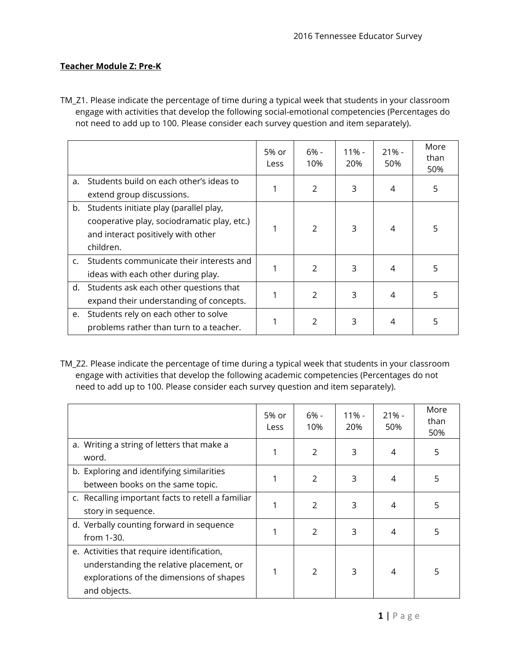## **Teacher Module Z: Pre-K**

TM\_Z1. Please indicate the percentage of time during a typical week that students in your classroom engage with activities that develop the following social-emotional competencies (Percentages do not need to add up to 100. Please consider each survey question and item separately).

|                |                                                                                                                                          | 5% or<br>Less | 6% -<br>10%    | 11% -<br>20% | $21% -$<br>50% | More<br>than<br>50% |
|----------------|------------------------------------------------------------------------------------------------------------------------------------------|---------------|----------------|--------------|----------------|---------------------|
| a.             | Students build on each other's ideas to<br>extend group discussions.                                                                     |               | $\mathfrak{D}$ | 3            | 4              | 5                   |
| b.             | Students initiate play (parallel play,<br>cooperative play, sociodramatic play, etc.)<br>and interact positively with other<br>children. |               | $\mathfrak{D}$ | 3            | 4              | 5                   |
| $\mathsf{C}$ . | Students communicate their interests and<br>ideas with each other during play.                                                           |               | $\mathfrak{D}$ | 3            | 4              | 5                   |
|                | d. Students ask each other questions that<br>expand their understanding of concepts.                                                     |               | $\overline{2}$ | 3            | 4              | 5                   |
| e.             | Students rely on each other to solve<br>problems rather than turn to a teacher.                                                          |               | 2              | 3            | 4              | 5                   |

TM\_Z2. Please indicate the percentage of time during a typical week that students in your classroom engage with activities that develop the following academic competencies (Percentages do not need to add up to 100. Please consider each survey question and item separately).

|                                                                                                                                                    | 5% or<br>Less | $6% -$<br>10% | $11\%$ -<br>20% | $21% -$<br>50% | More<br>than<br>50% |
|----------------------------------------------------------------------------------------------------------------------------------------------------|---------------|---------------|-----------------|----------------|---------------------|
| a. Writing a string of letters that make a<br>word.                                                                                                |               | $\mathcal{P}$ | 3               | 4              | 5                   |
| b. Exploring and identifying similarities<br>between books on the same topic.                                                                      |               | $\mathcal{P}$ | 3               | 4              | 5                   |
| c. Recalling important facts to retell a familiar<br>story in sequence.                                                                            |               | $\mathcal{P}$ | 3               | 4              | 5                   |
| d. Verbally counting forward in sequence<br>from 1-30.                                                                                             |               | $\mathcal{P}$ | 3               | 4              | 5                   |
| e. Activities that require identification,<br>understanding the relative placement, or<br>explorations of the dimensions of shapes<br>and objects. |               | $\mathcal{P}$ | 3               | 4              | 5                   |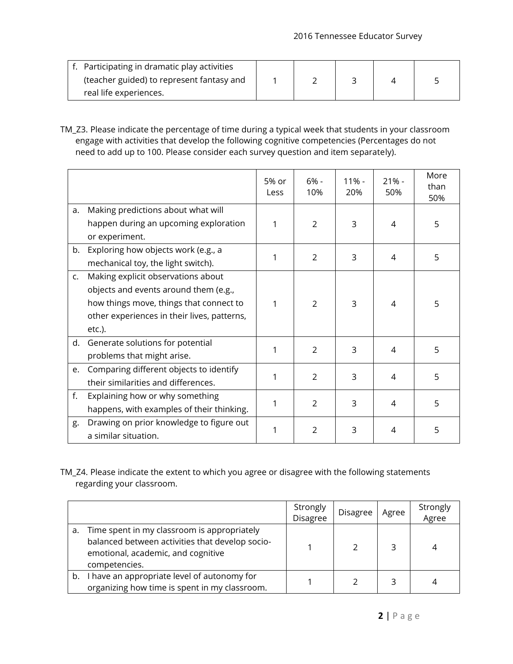| f. Participating in dramatic play activities |  |  |  |
|----------------------------------------------|--|--|--|
| (teacher guided) to represent fantasy and    |  |  |  |
| real life experiences.                       |  |  |  |

TM\_Z3. Please indicate the percentage of time during a typical week that students in your classroom engage with activities that develop the following cognitive competencies (Percentages do not need to add up to 100. Please consider each survey question and item separately).

|                |                                                                                                                                                                                    | 5% or<br>Less | $6% -$<br>10%  | $11\%$ -<br>20% | $21% -$<br>50% | More<br>than<br>50% |
|----------------|------------------------------------------------------------------------------------------------------------------------------------------------------------------------------------|---------------|----------------|-----------------|----------------|---------------------|
| a.             | Making predictions about what will<br>happen during an upcoming exploration<br>or experiment.                                                                                      | 1             | 2              | 3               | 4              | 5                   |
| b.             | Exploring how objects work (e.g., a<br>mechanical toy, the light switch).                                                                                                          | 1             | $\overline{2}$ | 3               | 4              | 5                   |
| $\mathsf{C}$ . | Making explicit observations about<br>objects and events around them (e.g.,<br>how things move, things that connect to<br>other experiences in their lives, patterns,<br>$etc.$ ). | 1             | 2              | 3               | 4              | 5                   |
| d.             | Generate solutions for potential<br>problems that might arise.                                                                                                                     | 1             | 2              | 3               | 4              | 5                   |
| e.             | Comparing different objects to identify<br>their similarities and differences.                                                                                                     | 1             | $\overline{2}$ | 3               | 4              | 5                   |
| f.             | Explaining how or why something<br>happens, with examples of their thinking.                                                                                                       | 1             | $\overline{2}$ | 3               | 4              | 5                   |
| g.             | Drawing on prior knowledge to figure out<br>a similar situation.                                                                                                                   | 1             | $\overline{2}$ | 3               | 4              | 5                   |

TM\_Z4. Please indicate the extent to which you agree or disagree with the following statements regarding your classroom.

|    |                                                                                                                                                       | Strongly<br>Disagree | <b>Disagree</b> | Agree | Strongly<br>Agree |
|----|-------------------------------------------------------------------------------------------------------------------------------------------------------|----------------------|-----------------|-------|-------------------|
| а. | Time spent in my classroom is appropriately<br>balanced between activities that develop socio-<br>emotional, academic, and cognitive<br>competencies. |                      |                 |       |                   |
| b. | I have an appropriate level of autonomy for<br>organizing how time is spent in my classroom.                                                          |                      |                 |       |                   |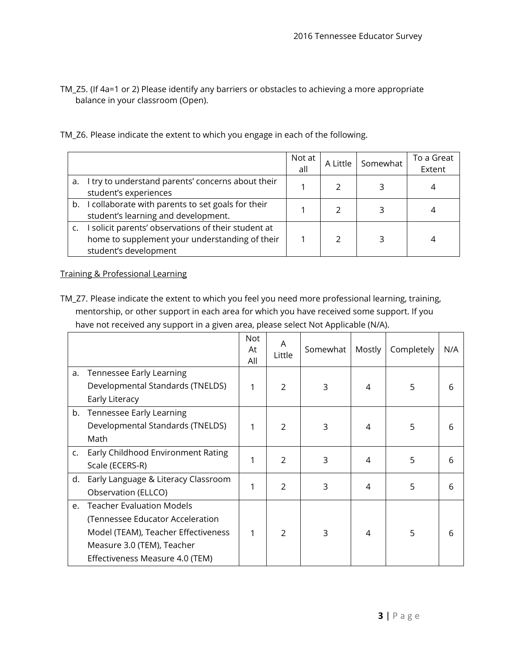TM\_Z5. (If 4a=1 or 2) Please identify any barriers or obstacles to achieving a more appropriate balance in your classroom (Open).

| TM_Z6. Please indicate the extent to which you engage in each of the following. |  |  |
|---------------------------------------------------------------------------------|--|--|
|---------------------------------------------------------------------------------|--|--|

|                                                                                                                                | Not at<br>all | A Little | Somewhat | To a Great<br>Extent |
|--------------------------------------------------------------------------------------------------------------------------------|---------------|----------|----------|----------------------|
| a. I try to understand parents' concerns about their<br>student's experiences                                                  |               |          |          |                      |
| b. I collaborate with parents to set goals for their<br>student's learning and development.                                    |               |          |          |                      |
| I solicit parents' observations of their student at<br>home to supplement your understanding of their<br>student's development |               |          |          |                      |

Training & Professional Learning

TM\_Z7. Please indicate the extent to which you feel you need more professional learning, training, mentorship, or other support in each area for which you have received some support. If you have not received any support in a given area, please select Not Applicable (N/A).

|    |                                                                                                                                                                              | Not<br>At<br>All | A<br>Little    | Somewhat | Mostly | Completely | N/A |
|----|------------------------------------------------------------------------------------------------------------------------------------------------------------------------------|------------------|----------------|----------|--------|------------|-----|
| a. | Tennessee Early Learning<br>Developmental Standards (TNELDS)                                                                                                                 | 1                | 2              | 3        | 4      | 5          | 6   |
|    | Early Literacy                                                                                                                                                               |                  |                |          |        |            |     |
| b. | Tennessee Early Learning<br>Developmental Standards (TNELDS)<br>Math                                                                                                         | 1                | $\mathcal{P}$  | 3        | 4      | 5          | 6   |
| C. | Early Childhood Environment Rating<br>Scale (ECERS-R)                                                                                                                        | 1                | $\mathcal{P}$  | 3        | 4      | 5          | 6   |
| d. | Early Language & Literacy Classroom<br>Observation (ELLCO)                                                                                                                   | 1                | $\overline{2}$ | 3        | 4      | 5          | 6   |
| e. | <b>Teacher Evaluation Models</b><br>(Tennessee Educator Acceleration<br>Model (TEAM), Teacher Effectiveness<br>Measure 3.0 (TEM), Teacher<br>Effectiveness Measure 4.0 (TEM) | 1                | $\mathcal{P}$  | 3        | 4      | 5          | 6   |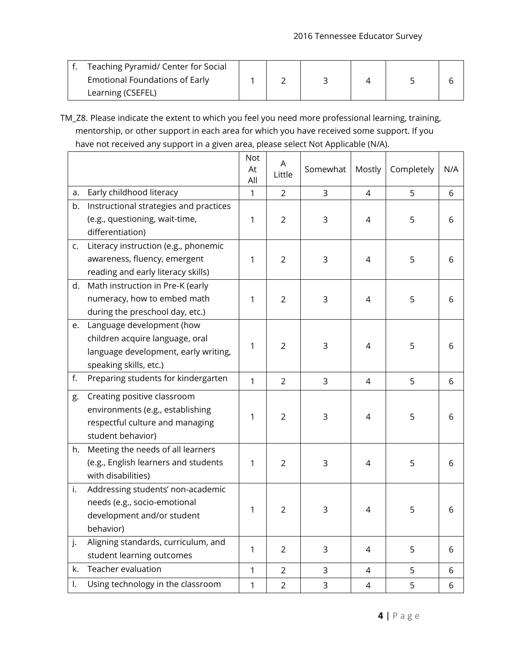| Teaching Pyramid/ Center for Social |  |  |  |
|-------------------------------------|--|--|--|
| Emotional Foundations of Early      |  |  |  |
| Learning (CSEFEL)                   |  |  |  |

TM\_Z8. Please indicate the extent to which you feel you need more professional learning, training, mentorship, or other support in each area for which you have received some support. If you have not received any support in a given area, please select Not Applicable (N/A).

|    |                                                                                                                                | Not<br>At<br>All | A<br>Little    | Somewhat    | Mostly | Completely | N/A |
|----|--------------------------------------------------------------------------------------------------------------------------------|------------------|----------------|-------------|--------|------------|-----|
| а. | Early childhood literacy                                                                                                       | $\mathbf{1}$     | 2              | 3           | 4      | 5          | 6   |
| b. | Instructional strategies and practices<br>(e.g., questioning, wait-time,<br>differentiation)                                   | 1                | 2              | 3           | 4      | 5          | 6   |
| C. | Literacy instruction (e.g., phonemic<br>awareness, fluency, emergent<br>reading and early literacy skills)                     | 1                | $\overline{2}$ | 3           | 4      | 5          | 6   |
| d. | Math instruction in Pre-K (early<br>numeracy, how to embed math<br>during the preschool day, etc.)                             | 1                | $\overline{2}$ | 3           | 4      | 5          | 6   |
| e. | Language development (how<br>children acquire language, oral<br>language development, early writing,<br>speaking skills, etc.) | 1                | 2              | 3           | 4      | 5          | 6   |
| f. | Preparing students for kindergarten                                                                                            | 1                | $\overline{2}$ | 3           | 4      | 5          | 6   |
| g. | Creating positive classroom<br>environments (e.g., establishing<br>respectful culture and managing<br>student behavior)        | 1                | $\overline{2}$ | 3           | 4      | 5          | 6   |
| h. | Meeting the needs of all learners<br>(e.g., English learners and students<br>with disabilities)                                | 1                | $\overline{2}$ | 3           | 4      | 5          | 6   |
| i. | Addressing students' non-academic<br>needs (e.g., socio-emotional<br>development and/or student<br>behavior)                   | 1                | $\overline{2}$ | 3           | 4      | 5          | 6   |
| j. | Aligning standards, curriculum, and<br>student learning outcomes                                                               | 1                | $\overline{2}$ | 3           | 4      | 5          | 6   |
| k. | Teacher evaluation                                                                                                             | 1                | $\overline{2}$ | 3           | 4      | 5          | 6   |
| I. | Using technology in the classroom                                                                                              | 1                | $\overline{2}$ | $\mathsf 3$ | 4      | 5          | 6   |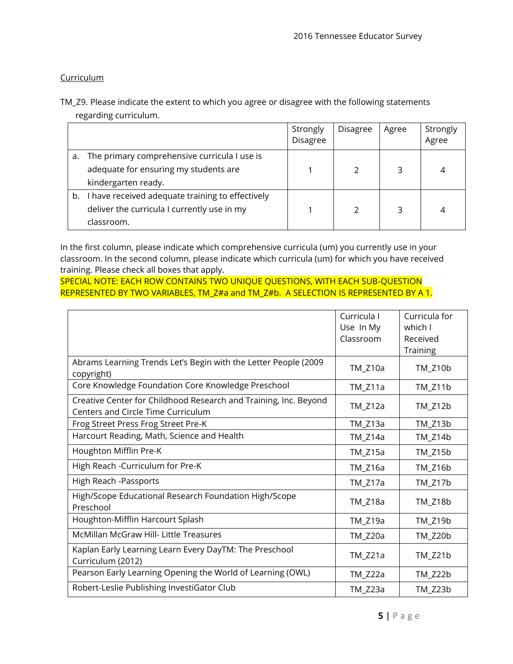## **Curriculum**

TM\_Z9. Please indicate the extent to which you agree or disagree with the following statements regarding curriculum.

|    |                                                                                                               | Strongly<br><b>Disagree</b> | <b>Disagree</b> | Agree | Strongly<br>Agree |
|----|---------------------------------------------------------------------------------------------------------------|-----------------------------|-----------------|-------|-------------------|
| a. | The primary comprehensive curricula I use is<br>adequate for ensuring my students are                         |                             |                 | 3     | 4                 |
|    | kindergarten ready.                                                                                           |                             |                 |       |                   |
| b. | I have received adequate training to effectively<br>deliver the curricula I currently use in my<br>classroom. |                             | $\mathcal{P}$   | 3     | 4                 |

In the first column, please indicate which comprehensive curricula (um) you currently use in your classroom. In the second column, please indicate which curricula (um) for which you have received training. Please check all boxes that apply.

SPECIAL NOTE: EACH ROW CONTAINS TWO UNIQUE QUESTIONS, WITH EACH SUB-QUESTION REPRESENTED BY TWO VARIABLES, TM\_Z#a and TM\_Z#b. A SELECTION IS REPRESENTED BY A 1.

|                                                                                                        | Curricula I<br>Use In My<br>Classroom | Curricula for<br>which I<br>Received<br>Training |
|--------------------------------------------------------------------------------------------------------|---------------------------------------|--------------------------------------------------|
| Abrams Learning Trends Let's Begin with the Letter People (2009<br>copyright)                          | TM_Z10a                               | TM_Z10b                                          |
| Core Knowledge Foundation Core Knowledge Preschool                                                     | TM_Z11a                               | TM_Z11b                                          |
| Creative Center for Childhood Research and Training, Inc. Beyond<br>Centers and Circle Time Curriculum | $TM_Z12a$                             | TM_Z12b                                          |
| Frog Street Press Frog Street Pre-K                                                                    | $TM_Z13a$                             | TM_Z13b                                          |
| Harcourt Reading, Math, Science and Health                                                             | TM_Z14a                               | TM_Z14b                                          |
| Houghton Mifflin Pre-K                                                                                 | $TM_Z15a$                             | TM_Z15b                                          |
| High Reach -Curriculum for Pre-K                                                                       | TM_Z16a                               | TM_Z16b                                          |
| High Reach -Passports                                                                                  | TM_Z17a                               | TM_Z17b                                          |
| High/Scope Educational Research Foundation High/Scope<br>Preschool                                     | TM_Z18a                               | TM_Z18b                                          |
| Houghton-Mifflin Harcourt Splash                                                                       | TM_Z19a                               | TM_Z19b                                          |
| <b>McMillan McGraw Hill- Little Treasures</b>                                                          | TM_Z20a                               | TM_Z20b                                          |
| Kaplan Early Learning Learn Every DayTM: The Preschool<br>Curriculum (2012)                            | $TM_Z21a$                             | TM_Z21b                                          |
| Pearson Early Learning Opening the World of Learning (OWL)                                             | TM_Z22a                               | TM_Z22b                                          |
| Robert-Leslie Publishing InvestiGator Club                                                             | TM_Z23a                               | TM_Z23b                                          |